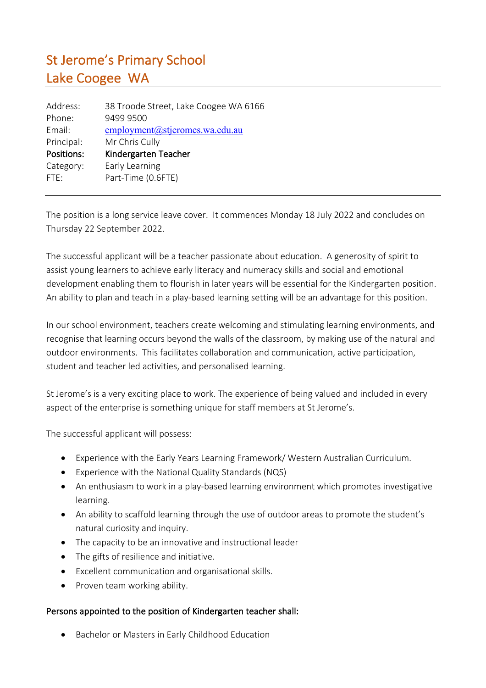## St Jerome's Primary School Lake Coogee WA

| 38 Troode Street, Lake Coogee WA 6166 |
|---------------------------------------|
| 9499 9500                             |
| employment@stjeromes.wa.edu.au        |
| Mr Chris Cully                        |
| Kindergarten Teacher                  |
| Early Learning                        |
| Part-Time (0.6FTE)                    |
|                                       |

The position is a long service leave cover. It commences Monday 18 July 2022 and concludes on Thursday 22 September 2022.

The successful applicant will be a teacher passionate about education. A generosity of spirit to assist young learners to achieve early literacy and numeracy skills and social and emotional development enabling them to flourish in later years will be essential for the Kindergarten position. An ability to plan and teach in a play-based learning setting will be an advantage for this position.

In our school environment, teachers create welcoming and stimulating learning environments, and recognise that learning occurs beyond the walls of the classroom, by making use of the natural and outdoor environments. This facilitates collaboration and communication, active participation, student and teacher led activities, and personalised learning.

St Jerome's is a very exciting place to work. The experience of being valued and included in every aspect of the enterprise is something unique for staff members at St Jerome's.

The successful applicant will possess:

- Experience with the Early Years Learning Framework/ Western Australian Curriculum.
- Experience with the National Quality Standards (NQS)
- An enthusiasm to work in a play-based learning environment which promotes investigative learning.
- An ability to scaffold learning through the use of outdoor areas to promote the student's natural curiosity and inquiry.
- The capacity to be an innovative and instructional leader
- The gifts of resilience and initiative.
- Excellent communication and organisational skills.
- Proven team working ability.

## Persons appointed to the position of Kindergarten teacher shall:

• Bachelor or Masters in Early Childhood Education